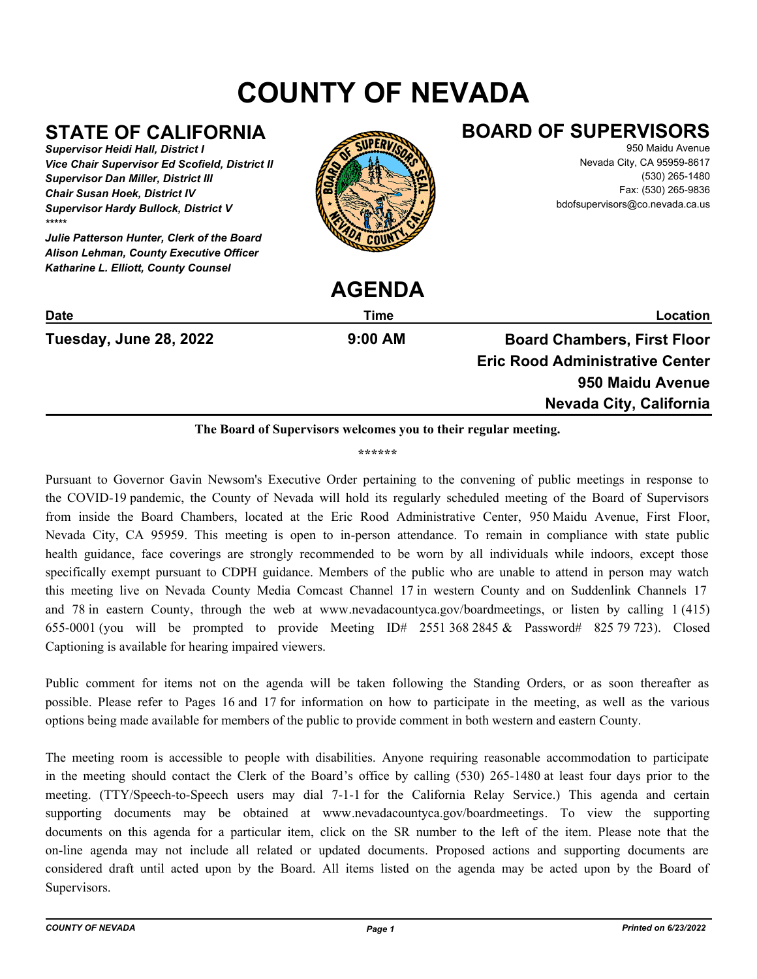# **COUNTY OF NEVADA**

# **STATE OF CALIFORNIA**

*Supervisor Heidi Hall, District I Vice Chair Supervisor Ed Scofield, District II Supervisor Dan Miller, District III Chair Susan Hoek, District IV Supervisor Hardy Bullock, District V \*\*\*\*\**

*Julie Patterson Hunter, Clerk of the Board Alison Lehman, County Executive Officer Katharine L. Elliott, County Counsel*



## **BOARD OF SUPERVISORS**

950 Maidu Avenue Nevada City, CA 95959-8617 (530) 265-1480 Fax: (530) 265-9836 bdofsupervisors@co.nevada.ca.us

|                        | AULINDA   |                                        |
|------------------------|-----------|----------------------------------------|
| <b>Date</b>            | Time      | Location                               |
| Tuesday, June 28, 2022 | $9:00$ AM | <b>Board Chambers, First Floor</b>     |
|                        |           | <b>Eric Rood Administrative Center</b> |
|                        |           | 950 Maidu Avenue                       |
|                        |           | Nevada City, California                |
|                        |           |                                        |

**AGENDA**

#### **The Board of Supervisors welcomes you to their regular meeting.**

**\*\*\*\*\*\***

Pursuant to Governor Gavin Newsom's Executive Order pertaining to the convening of public meetings in response to the COVID-19 pandemic, the County of Nevada will hold its regularly scheduled meeting of the Board of Supervisors from inside the Board Chambers, located at the Eric Rood Administrative Center, 950 Maidu Avenue, First Floor, Nevada City, CA 95959. This meeting is open to in-person attendance. To remain in compliance with state public health guidance, face coverings are strongly recommended to be worn by all individuals while indoors, except those specifically exempt pursuant to CDPH guidance. Members of the public who are unable to attend in person may watch this meeting live on Nevada County Media Comcast Channel 17 in western County and on Suddenlink Channels 17 and 78 in eastern County, through the web at www.nevadacountyca.gov/boardmeetings, or listen by calling 1 (415) 655-0001 (you will be prompted to provide Meeting  $ID# 25513682845 \& Password# 82579723$ ). Closed Captioning is available for hearing impaired viewers.

Public comment for items not on the agenda will be taken following the Standing Orders, or as soon thereafter as possible. Please refer to Pages 16 and 17 for information on how to participate in the meeting, as well as the various options being made available for members of the public to provide comment in both western and eastern County.

The meeting room is accessible to people with disabilities. Anyone requiring reasonable accommodation to participate in the meeting should contact the Clerk of the Board's office by calling (530) 265-1480 at least four days prior to the meeting. (TTY/Speech-to-Speech users may dial 7-1-1 for the California Relay Service.) This agenda and certain supporting documents may be obtained at www.nevadacountyca.gov/boardmeetings. To view the supporting documents on this agenda for a particular item, click on the SR number to the left of the item. Please note that the on-line agenda may not include all related or updated documents. Proposed actions and supporting documents are considered draft until acted upon by the Board. All items listed on the agenda may be acted upon by the Board of Supervisors.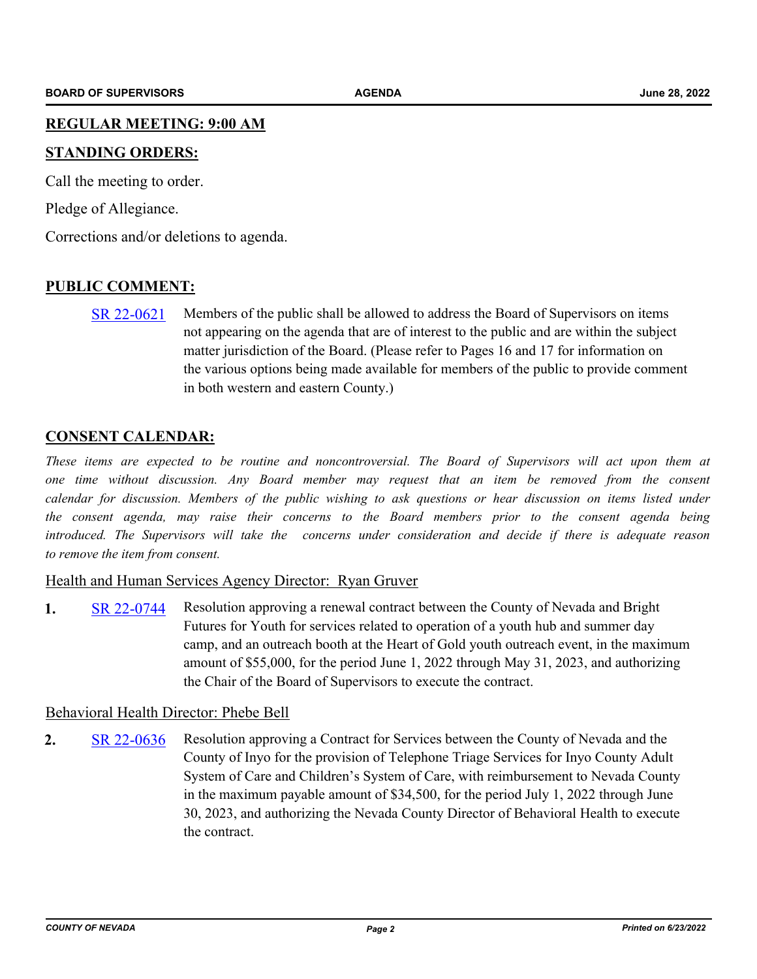#### **REGULAR MEETING: 9:00 AM**

#### **STANDING ORDERS:**

Call the meeting to order.

Pledge of Allegiance.

Corrections and/or deletions to agenda.

#### **PUBLIC COMMENT:**

[SR 22-0621](http://nevco.legistar.com/gateway.aspx?m=l&id=/matter.aspx?key=40949) Members of the public shall be allowed to address the Board of Supervisors on items not appearing on the agenda that are of interest to the public and are within the subject matter jurisdiction of the Board. (Please refer to Pages 16 and 17 for information on the various options being made available for members of the public to provide comment in both western and eastern County.)

#### **CONSENT CALENDAR:**

*These items are expected to be routine and noncontroversial. The Board of Supervisors will act upon them at one time without discussion. Any Board member may request that an item be removed from the consent calendar for discussion. Members of the public wishing to ask questions or hear discussion on items listed under the consent agenda, may raise their concerns to the Board members prior to the consent agenda being introduced. The Supervisors will take the concerns under consideration and decide if there is adequate reason to remove the item from consent.*

#### Health and Human Services Agency Director: Ryan Gruver

**1.** [SR 22-0744](http://nevco.legistar.com/gateway.aspx?m=l&id=/matter.aspx?key=41072) Resolution approving a renewal contract between the County of Nevada and Bright Futures for Youth for services related to operation of a youth hub and summer day camp, and an outreach booth at the Heart of Gold youth outreach event, in the maximum amount of \$55,000, for the period June 1, 2022 through May 31, 2023, and authorizing the Chair of the Board of Supervisors to execute the contract.

#### Behavioral Health Director: Phebe Bell

**2.** [SR 22-0636](http://nevco.legistar.com/gateway.aspx?m=l&id=/matter.aspx?key=40964) Resolution approving a Contract for Services between the County of Nevada and the County of Inyo for the provision of Telephone Triage Services for Inyo County Adult System of Care and Children's System of Care, with reimbursement to Nevada County in the maximum payable amount of \$34,500, for the period July 1, 2022 through June 30, 2023, and authorizing the Nevada County Director of Behavioral Health to execute the contract.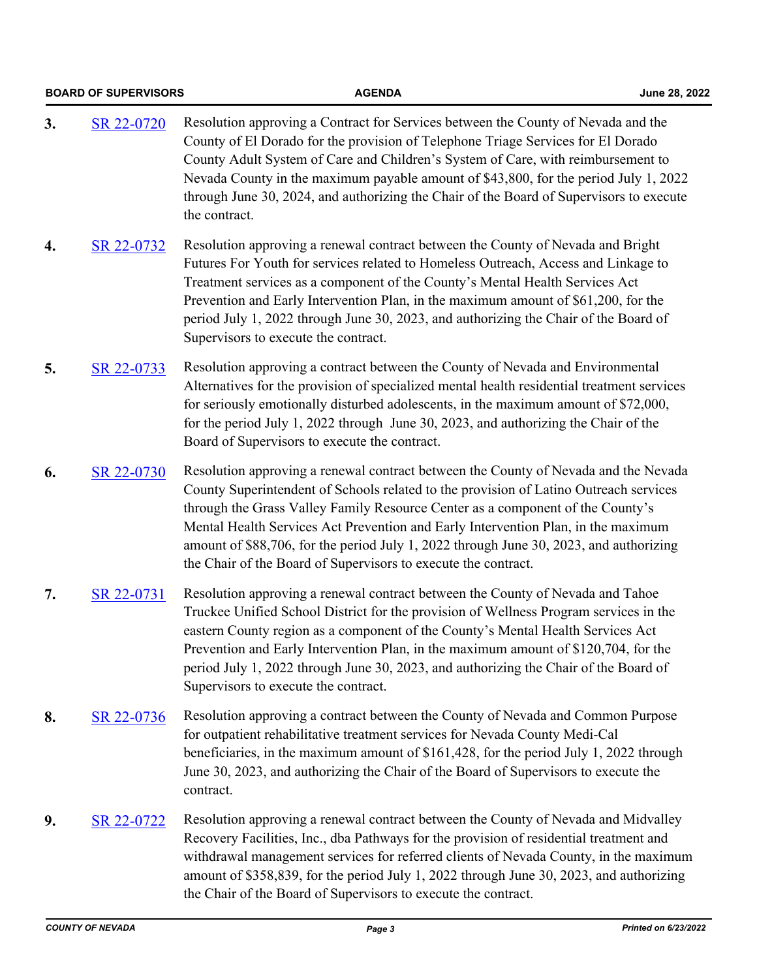|    | <b>BOARD OF SUPERVISORS</b> | <b>AGENDA</b>                                                                                                                                                                                                                                                                                                                                                                                                                                                                                                   | June 28, 2022 |
|----|-----------------------------|-----------------------------------------------------------------------------------------------------------------------------------------------------------------------------------------------------------------------------------------------------------------------------------------------------------------------------------------------------------------------------------------------------------------------------------------------------------------------------------------------------------------|---------------|
| 3. | SR 22-0720                  | Resolution approving a Contract for Services between the County of Nevada and the<br>County of El Dorado for the provision of Telephone Triage Services for El Dorado<br>County Adult System of Care and Children's System of Care, with reimbursement to<br>Nevada County in the maximum payable amount of \$43,800, for the period July 1, 2022<br>through June 30, 2024, and authorizing the Chair of the Board of Supervisors to execute<br>the contract.                                                   |               |
| 4. | SR 22-0732                  | Resolution approving a renewal contract between the County of Nevada and Bright<br>Futures For Youth for services related to Homeless Outreach, Access and Linkage to<br>Treatment services as a component of the County's Mental Health Services Act<br>Prevention and Early Intervention Plan, in the maximum amount of \$61,200, for the<br>period July 1, 2022 through June 30, 2023, and authorizing the Chair of the Board of<br>Supervisors to execute the contract.                                     |               |
| 5. | SR 22-0733                  | Resolution approving a contract between the County of Nevada and Environmental<br>Alternatives for the provision of specialized mental health residential treatment services<br>for seriously emotionally disturbed adolescents, in the maximum amount of \$72,000,<br>for the period July 1, 2022 through June 30, 2023, and authorizing the Chair of the<br>Board of Supervisors to execute the contract.                                                                                                     |               |
| 6. | SR 22-0730                  | Resolution approving a renewal contract between the County of Nevada and the Nevada<br>County Superintendent of Schools related to the provision of Latino Outreach services<br>through the Grass Valley Family Resource Center as a component of the County's<br>Mental Health Services Act Prevention and Early Intervention Plan, in the maximum<br>amount of \$88,706, for the period July 1, 2022 through June 30, 2023, and authorizing<br>the Chair of the Board of Supervisors to execute the contract. |               |
| 7. | SR 22-0731                  | Resolution approving a renewal contract between the County of Nevada and Tahoe<br>Truckee Unified School District for the provision of Wellness Program services in the<br>eastern County region as a component of the County's Mental Health Services Act<br>Prevention and Early Intervention Plan, in the maximum amount of \$120,704, for the<br>period July 1, 2022 through June 30, 2023, and authorizing the Chair of the Board of<br>Supervisors to execute the contract.                               |               |
| 8. | SR 22-0736                  | Resolution approving a contract between the County of Nevada and Common Purpose<br>for outpatient rehabilitative treatment services for Nevada County Medi-Cal<br>beneficiaries, in the maximum amount of \$161,428, for the period July 1, 2022 through<br>June 30, 2023, and authorizing the Chair of the Board of Supervisors to execute the<br>contract.                                                                                                                                                    |               |
| 9. | SR 22-0722                  | Resolution approving a renewal contract between the County of Nevada and Midvalley<br>Recovery Facilities, Inc., dba Pathways for the provision of residential treatment and<br>withdrawal management services for referred clients of Nevada County, in the maximum<br>amount of \$358,839, for the period July 1, 2022 through June 30, 2023, and authorizing<br>the Chair of the Board of Supervisors to execute the contract.                                                                               |               |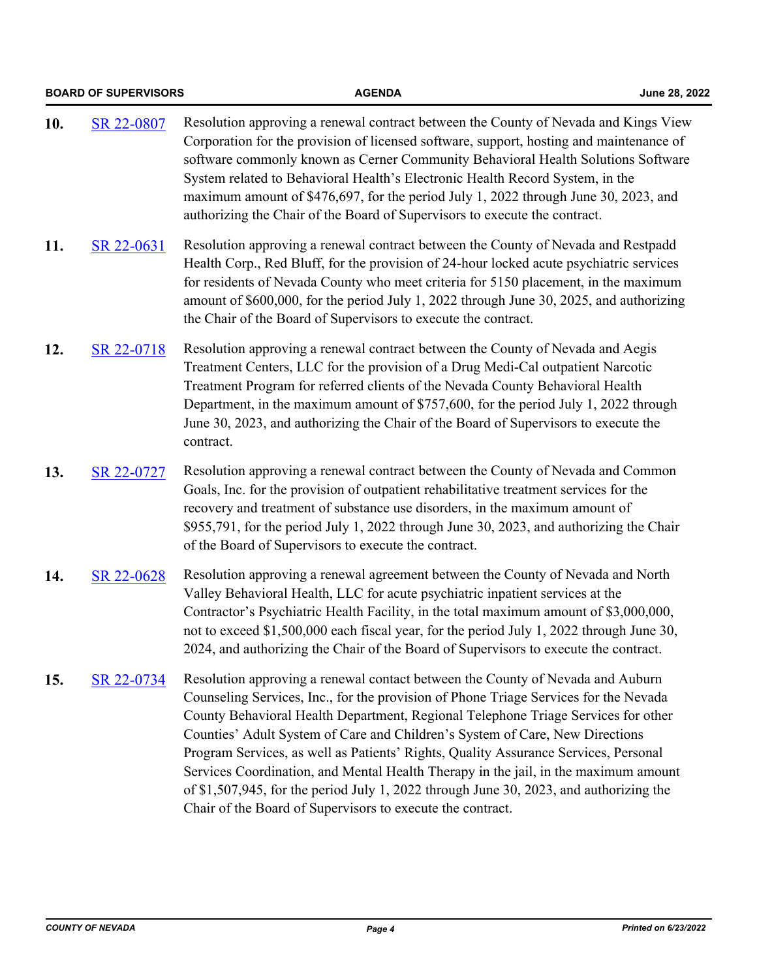|     | <b>BOARD OF SUPERVISORS</b> | <b>AGENDA</b>                                                                                                                                                                                                                                                                                                                                                                                                                                                                                                                                                                                                                                                                     | June 28, 2022 |
|-----|-----------------------------|-----------------------------------------------------------------------------------------------------------------------------------------------------------------------------------------------------------------------------------------------------------------------------------------------------------------------------------------------------------------------------------------------------------------------------------------------------------------------------------------------------------------------------------------------------------------------------------------------------------------------------------------------------------------------------------|---------------|
| 10. | SR 22-0807                  | Resolution approving a renewal contract between the County of Nevada and Kings View<br>Corporation for the provision of licensed software, support, hosting and maintenance of<br>software commonly known as Cerner Community Behavioral Health Solutions Software<br>System related to Behavioral Health's Electronic Health Record System, in the<br>maximum amount of \$476,697, for the period July 1, 2022 through June 30, 2023, and<br>authorizing the Chair of the Board of Supervisors to execute the contract.                                                                                                                                                          |               |
| 11. | SR 22-0631                  | Resolution approving a renewal contract between the County of Nevada and Restpadd<br>Health Corp., Red Bluff, for the provision of 24-hour locked acute psychiatric services<br>for residents of Nevada County who meet criteria for 5150 placement, in the maximum<br>amount of \$600,000, for the period July 1, 2022 through June 30, 2025, and authorizing<br>the Chair of the Board of Supervisors to execute the contract.                                                                                                                                                                                                                                                  |               |
| 12. | SR 22-0718                  | Resolution approving a renewal contract between the County of Nevada and Aegis<br>Treatment Centers, LLC for the provision of a Drug Medi-Cal outpatient Narcotic<br>Treatment Program for referred clients of the Nevada County Behavioral Health<br>Department, in the maximum amount of \$757,600, for the period July 1, 2022 through<br>June 30, 2023, and authorizing the Chair of the Board of Supervisors to execute the<br>contract.                                                                                                                                                                                                                                     |               |
| 13. | SR 22-0727                  | Resolution approving a renewal contract between the County of Nevada and Common<br>Goals, Inc. for the provision of outpatient rehabilitative treatment services for the<br>recovery and treatment of substance use disorders, in the maximum amount of<br>\$955,791, for the period July 1, 2022 through June 30, 2023, and authorizing the Chair<br>of the Board of Supervisors to execute the contract.                                                                                                                                                                                                                                                                        |               |
| 14. | SR 22-0628                  | Resolution approving a renewal agreement between the County of Nevada and North<br>Valley Behavioral Health, LLC for acute psychiatric inpatient services at the<br>Contractor's Psychiatric Health Facility, in the total maximum amount of \$3,000,000,<br>not to exceed \$1,500,000 each fiscal year, for the period July 1, 2022 through June 30,<br>2024, and authorizing the Chair of the Board of Supervisors to execute the contract.                                                                                                                                                                                                                                     |               |
| 15. | SR 22-0734                  | Resolution approving a renewal contact between the County of Nevada and Auburn<br>Counseling Services, Inc., for the provision of Phone Triage Services for the Nevada<br>County Behavioral Health Department, Regional Telephone Triage Services for other<br>Counties' Adult System of Care and Children's System of Care, New Directions<br>Program Services, as well as Patients' Rights, Quality Assurance Services, Personal<br>Services Coordination, and Mental Health Therapy in the jail, in the maximum amount<br>of \$1,507,945, for the period July 1, 2022 through June 30, 2023, and authorizing the<br>Chair of the Board of Supervisors to execute the contract. |               |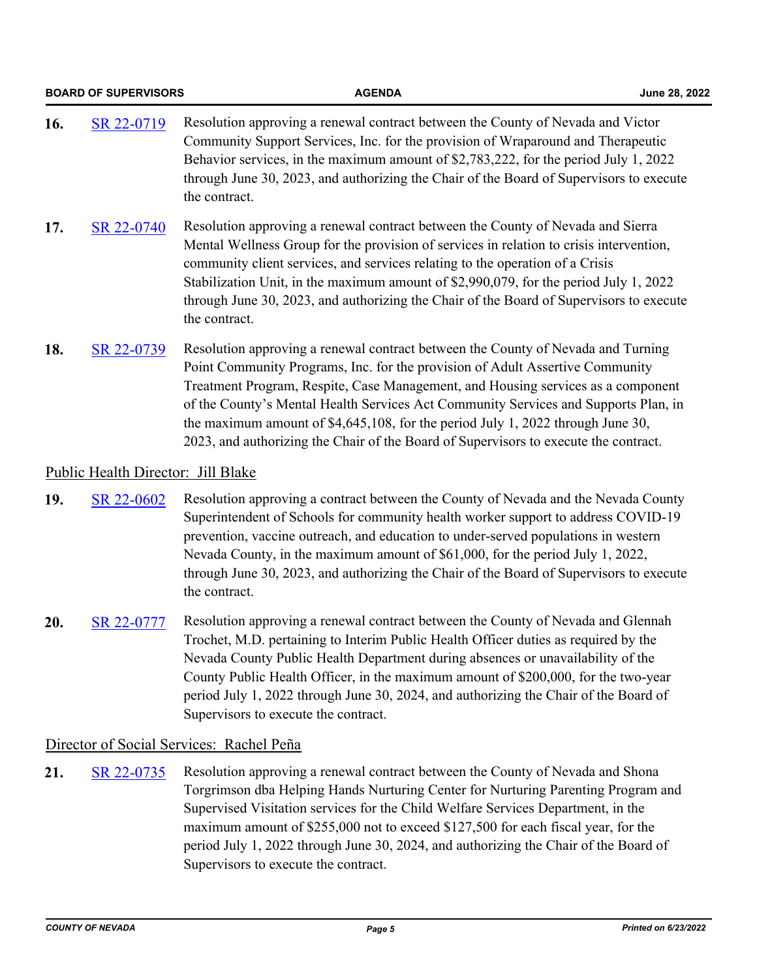|     | <b>BOARD OF SUPERVISORS</b>        | <b>AGENDA</b>                                                                                                                                                                                                                                                                                                                                                                                                                                                                                                             | June 28, 2022 |
|-----|------------------------------------|---------------------------------------------------------------------------------------------------------------------------------------------------------------------------------------------------------------------------------------------------------------------------------------------------------------------------------------------------------------------------------------------------------------------------------------------------------------------------------------------------------------------------|---------------|
| 16. | SR 22-0719                         | Resolution approving a renewal contract between the County of Nevada and Victor<br>Community Support Services, Inc. for the provision of Wraparound and Therapeutic<br>Behavior services, in the maximum amount of \$2,783,222, for the period July 1, 2022<br>through June 30, 2023, and authorizing the Chair of the Board of Supervisors to execute<br>the contract.                                                                                                                                                   |               |
| 17. | SR 22-0740                         | Resolution approving a renewal contract between the County of Nevada and Sierra<br>Mental Wellness Group for the provision of services in relation to crisis intervention,<br>community client services, and services relating to the operation of a Crisis<br>Stabilization Unit, in the maximum amount of \$2,990,079, for the period July 1, 2022<br>through June 30, 2023, and authorizing the Chair of the Board of Supervisors to execute<br>the contract.                                                          |               |
| 18. | SR 22-0739                         | Resolution approving a renewal contract between the County of Nevada and Turning<br>Point Community Programs, Inc. for the provision of Adult Assertive Community<br>Treatment Program, Respite, Case Management, and Housing services as a component<br>of the County's Mental Health Services Act Community Services and Supports Plan, in<br>the maximum amount of $$4,645,108$ , for the period July 1, 2022 through June 30,<br>2023, and authorizing the Chair of the Board of Supervisors to execute the contract. |               |
|     | Public Health Director: Jill Blake |                                                                                                                                                                                                                                                                                                                                                                                                                                                                                                                           |               |
|     |                                    |                                                                                                                                                                                                                                                                                                                                                                                                                                                                                                                           |               |

- **19.** [SR 22-0602](http://nevco.legistar.com/gateway.aspx?m=l&id=/matter.aspx?key=40930) Resolution approving a contract between the County of Nevada and the Nevada County Superintendent of Schools for community health worker support to address COVID-19 prevention, vaccine outreach, and education to under-served populations in western Nevada County, in the maximum amount of \$61,000, for the period July 1, 2022, through June 30, 2023, and authorizing the Chair of the Board of Supervisors to execute the contract.
- **20.** [SR 22-0777](http://nevco.legistar.com/gateway.aspx?m=l&id=/matter.aspx?key=41104) Resolution approving a renewal contract between the County of Nevada and Glennah Trochet, M.D. pertaining to Interim Public Health Officer duties as required by the Nevada County Public Health Department during absences or unavailability of the County Public Health Officer, in the maximum amount of \$200,000, for the two-year period July 1, 2022 through June 30, 2024, and authorizing the Chair of the Board of Supervisors to execute the contract.

#### Director of Social Services: Rachel Peña

**21.** [SR 22-0735](http://nevco.legistar.com/gateway.aspx?m=l&id=/matter.aspx?key=41063) Resolution approving a renewal contract between the County of Nevada and Shona Torgrimson dba Helping Hands Nurturing Center for Nurturing Parenting Program and Supervised Visitation services for the Child Welfare Services Department, in the maximum amount of \$255,000 not to exceed \$127,500 for each fiscal year, for the period July 1, 2022 through June 30, 2024, and authorizing the Chair of the Board of Supervisors to execute the contract.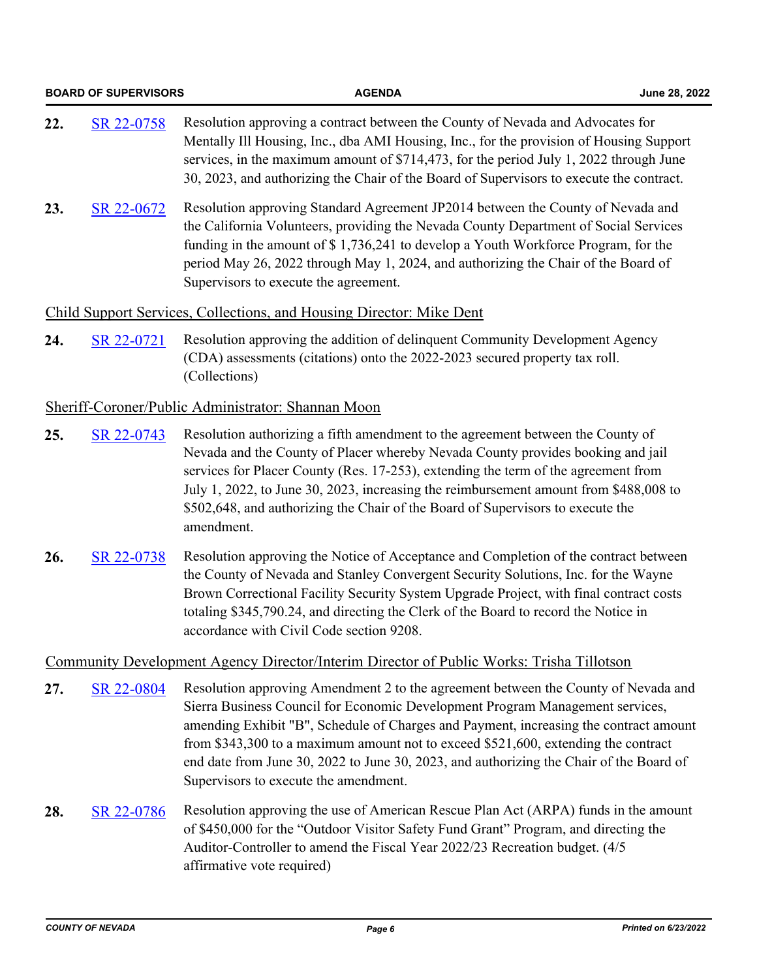|     | <b>BOARD OF SUPERVISORS</b> | <b>AGENDA</b>                                                                                                                                                                                                                                                                                                                                                                                                                                                                             | June 28, 2022 |
|-----|-----------------------------|-------------------------------------------------------------------------------------------------------------------------------------------------------------------------------------------------------------------------------------------------------------------------------------------------------------------------------------------------------------------------------------------------------------------------------------------------------------------------------------------|---------------|
| 22. | SR 22-0758                  | Resolution approving a contract between the County of Nevada and Advocates for<br>Mentally Ill Housing, Inc., dba AMI Housing, Inc., for the provision of Housing Support<br>services, in the maximum amount of \$714,473, for the period July 1, 2022 through June<br>30, 2023, and authorizing the Chair of the Board of Supervisors to execute the contract.                                                                                                                           |               |
| 23. | SR 22-0672                  | Resolution approving Standard Agreement JP2014 between the County of Nevada and<br>the California Volunteers, providing the Nevada County Department of Social Services<br>funding in the amount of \$1,736,241 to develop a Youth Workforce Program, for the<br>period May 26, 2022 through May 1, 2024, and authorizing the Chair of the Board of<br>Supervisors to execute the agreement.                                                                                              |               |
|     |                             | Child Support Services, Collections, and Housing Director: Mike Dent                                                                                                                                                                                                                                                                                                                                                                                                                      |               |
| 24. | SR 22-0721                  | Resolution approving the addition of delinquent Community Development Agency<br>(CDA) assessments (citations) onto the 2022-2023 secured property tax roll.<br>(Collections)                                                                                                                                                                                                                                                                                                              |               |
|     |                             | Sheriff-Coroner/Public Administrator: Shannan Moon                                                                                                                                                                                                                                                                                                                                                                                                                                        |               |
| 25. | SR 22-0743                  | Resolution authorizing a fifth amendment to the agreement between the County of<br>Nevada and the County of Placer whereby Nevada County provides booking and jail<br>services for Placer County (Res. 17-253), extending the term of the agreement from<br>July 1, 2022, to June 30, 2023, increasing the reimbursement amount from \$488,008 to<br>\$502,648, and authorizing the Chair of the Board of Supervisors to execute the<br>amendment.                                        |               |
| 26. | SR 22-0738                  | Resolution approving the Notice of Acceptance and Completion of the contract between<br>the County of Nevada and Stanley Convergent Security Solutions, Inc. for the Wayne<br>Brown Correctional Facility Security System Upgrade Project, with final contract costs<br>totaling \$345,790.24, and directing the Clerk of the Board to record the Notice in<br>accordance with Civil Code section 9208.                                                                                   |               |
|     |                             | Community Development Agency Director/Interim Director of Public Works: Trisha Tillotson                                                                                                                                                                                                                                                                                                                                                                                                  |               |
| 27. | SR 22-0804                  | Resolution approving Amendment 2 to the agreement between the County of Nevada and<br>Sierra Business Council for Economic Development Program Management services,<br>amending Exhibit "B", Schedule of Charges and Payment, increasing the contract amount<br>from $$343,300$ to a maximum amount not to exceed $$521,600$ , extending the contract<br>end date from June 30, 2022 to June 30, 2023, and authorizing the Chair of the Board of<br>Supervisors to execute the amendment. |               |
| 28. | SR 22-0786                  | Resolution approving the use of American Rescue Plan Act (ARPA) funds in the amount<br>of \$450,000 for the "Outdoor Visitor Safety Fund Grant" Program, and directing the<br>Auditor-Controller to amend the Fiscal Year 2022/23 Recreation budget. (4/5)<br>affirmative vote required)                                                                                                                                                                                                  |               |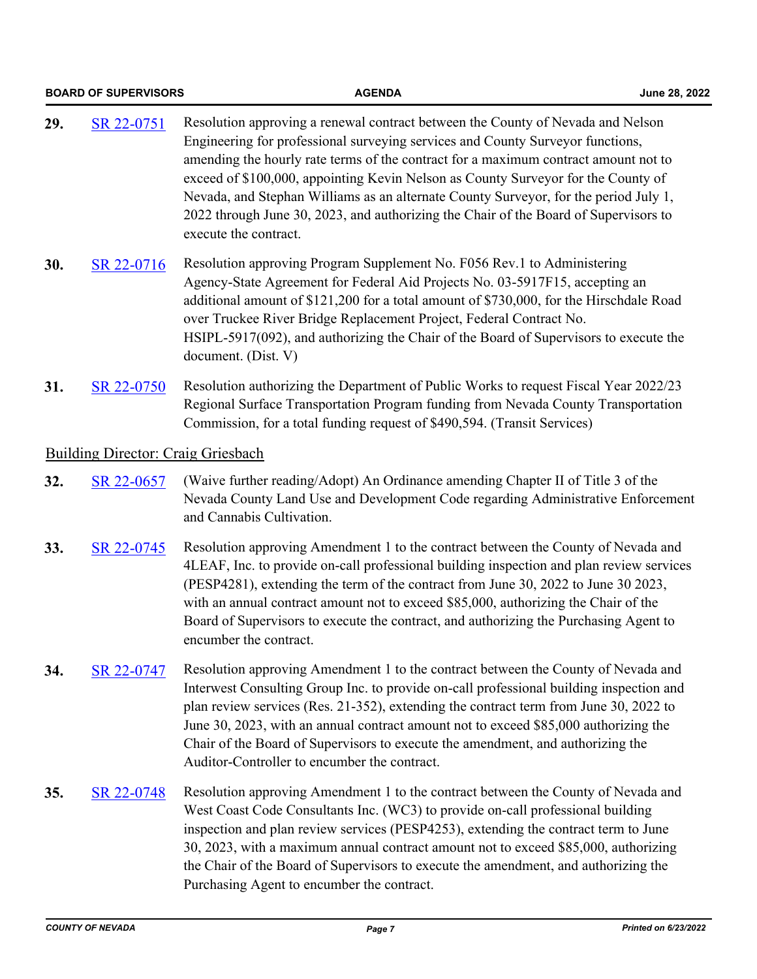|     | <b>BOARD OF SUPERVISORS</b>               | <b>AGENDA</b>                                                                                                                                                                                                                                                                                                                                                                                                                                                                                                                                          | June 28, 2022 |
|-----|-------------------------------------------|--------------------------------------------------------------------------------------------------------------------------------------------------------------------------------------------------------------------------------------------------------------------------------------------------------------------------------------------------------------------------------------------------------------------------------------------------------------------------------------------------------------------------------------------------------|---------------|
| 29. | SR 22-0751                                | Resolution approving a renewal contract between the County of Nevada and Nelson<br>Engineering for professional surveying services and County Surveyor functions,<br>amending the hourly rate terms of the contract for a maximum contract amount not to<br>exceed of \$100,000, appointing Kevin Nelson as County Surveyor for the County of<br>Nevada, and Stephan Williams as an alternate County Surveyor, for the period July 1,<br>2022 through June 30, 2023, and authorizing the Chair of the Board of Supervisors to<br>execute the contract. |               |
| 30. | SR 22-0716                                | Resolution approving Program Supplement No. F056 Rev.1 to Administering<br>Agency-State Agreement for Federal Aid Projects No. 03-5917F15, accepting an<br>additional amount of \$121,200 for a total amount of \$730,000, for the Hirschdale Road<br>over Truckee River Bridge Replacement Project, Federal Contract No.<br>HSIPL-5917(092), and authorizing the Chair of the Board of Supervisors to execute the<br>document. (Dist. V)                                                                                                              |               |
| 31. | SR 22-0750                                | Resolution authorizing the Department of Public Works to request Fiscal Year 2022/23<br>Regional Surface Transportation Program funding from Nevada County Transportation<br>Commission, for a total funding request of \$490,594. (Transit Services)                                                                                                                                                                                                                                                                                                  |               |
|     | <b>Building Director: Craig Griesbach</b> |                                                                                                                                                                                                                                                                                                                                                                                                                                                                                                                                                        |               |
| 32. | SR 22-0657                                | (Waive further reading/Adopt) An Ordinance amending Chapter II of Title 3 of the<br>Nevada County Land Use and Development Code regarding Administrative Enforcement<br>and Cannabis Cultivation.                                                                                                                                                                                                                                                                                                                                                      |               |
| 33. | SR 22-0745                                | Resolution approving Amendment 1 to the contract between the County of Nevada and<br>4LEAF, Inc. to provide on-call professional building inspection and plan review services<br>(PESP4281), extending the term of the contract from June 30, 2022 to June 30 2023,<br>with an annual contract amount not to exceed \$85,000, authorizing the Chair of the<br>Board of Supervisors to execute the contract, and authorizing the Purchasing Agent to<br>encumber the contract.                                                                          |               |
| 34. | SR 22-0747                                | Resolution approving Amendment 1 to the contract between the County of Nevada and<br>Interwest Consulting Group Inc. to provide on-call professional building inspection and<br>plan review services (Res. 21-352), extending the contract term from June 30, 2022 to<br>June 30, 2023, with an annual contract amount not to exceed \$85,000 authorizing the<br>Chair of the Board of Supervisors to execute the amendment, and authorizing the<br>Auditor-Controller to encumber the contract.                                                       |               |
| 35. | SR 22-0748                                | Resolution approving Amendment 1 to the contract between the County of Nevada and<br>West Coast Code Consultants Inc. (WC3) to provide on-call professional building<br>inspection and plan review services (PESP4253), extending the contract term to June<br>30, 2023, with a maximum annual contract amount not to exceed \$85,000, authorizing<br>the Chair of the Board of Supervisors to execute the amendment, and authorizing the<br>Purchasing Agent to encumber the contract.                                                                |               |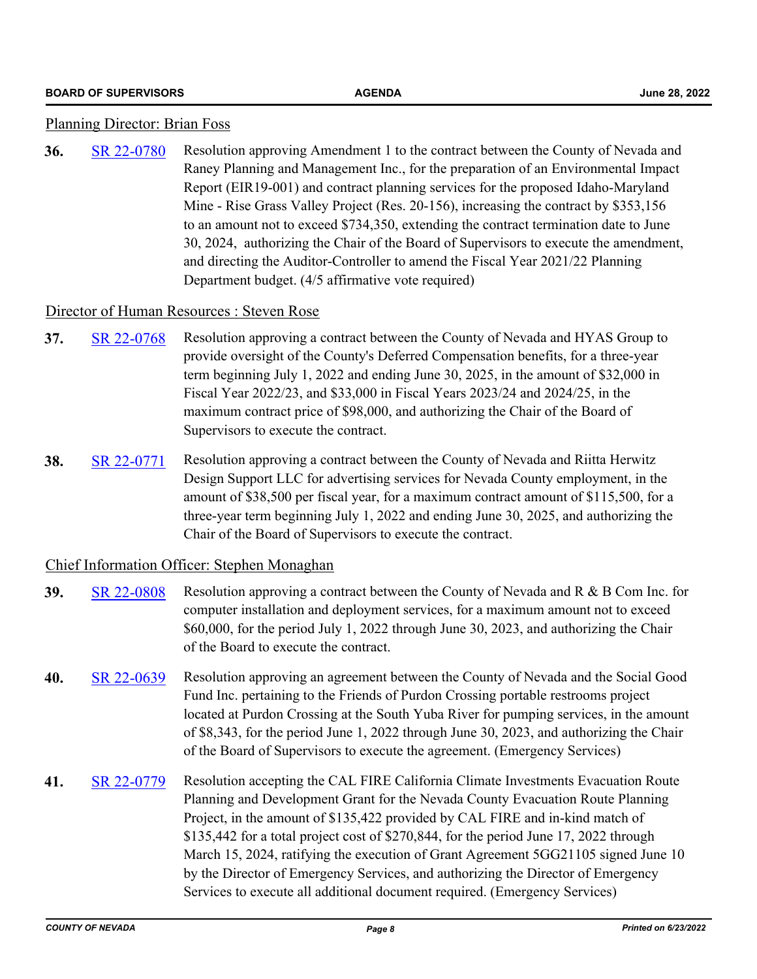#### Planning Director: Brian Foss

**36.** [SR 22-0780](http://nevco.legistar.com/gateway.aspx?m=l&id=/matter.aspx?key=41107) Resolution approving Amendment 1 to the contract between the County of Nevada and Raney Planning and Management Inc., for the preparation of an Environmental Impact Report (EIR19-001) and contract planning services for the proposed Idaho-Maryland Mine - Rise Grass Valley Project (Res. 20-156), increasing the contract by \$353,156 to an amount not to exceed \$734,350, extending the contract termination date to June 30, 2024, authorizing the Chair of the Board of Supervisors to execute the amendment, and directing the Auditor-Controller to amend the Fiscal Year 2021/22 Planning Department budget. (4/5 affirmative vote required)

#### Director of Human Resources : Steven Rose

- **37.** [SR 22-0768](http://nevco.legistar.com/gateway.aspx?m=l&id=/matter.aspx?key=41096) Resolution approving a contract between the County of Nevada and HYAS Group to provide oversight of the County's Deferred Compensation benefits, for a three-year term beginning July 1, 2022 and ending June 30, 2025, in the amount of \$32,000 in Fiscal Year 2022/23, and \$33,000 in Fiscal Years 2023/24 and 2024/25, in the maximum contract price of \$98,000, and authorizing the Chair of the Board of Supervisors to execute the contract.
- **38.** [SR 22-0771](http://nevco.legistar.com/gateway.aspx?m=l&id=/matter.aspx?key=41099) Resolution approving a contract between the County of Nevada and Riitta Herwitz Design Support LLC for advertising services for Nevada County employment, in the amount of \$38,500 per fiscal year, for a maximum contract amount of \$115,500, for a three-year term beginning July 1, 2022 and ending June 30, 2025, and authorizing the Chair of the Board of Supervisors to execute the contract.

#### Chief Information Officer: Stephen Monaghan

- **39.** [SR 22-0808](http://nevco.legistar.com/gateway.aspx?m=l&id=/matter.aspx?key=41135) Resolution approving a contract between the County of Nevada and R & B Com Inc. for computer installation and deployment services, for a maximum amount not to exceed \$60,000, for the period July 1, 2022 through June 30, 2023, and authorizing the Chair of the Board to execute the contract.
- **40.** [SR 22-0639](http://nevco.legistar.com/gateway.aspx?m=l&id=/matter.aspx?key=40967) Resolution approving an agreement between the County of Nevada and the Social Good Fund Inc. pertaining to the Friends of Purdon Crossing portable restrooms project located at Purdon Crossing at the South Yuba River for pumping services, in the amount of \$8,343, for the period June 1, 2022 through June 30, 2023, and authorizing the Chair of the Board of Supervisors to execute the agreement. (Emergency Services)
- **41.** [SR 22-0779](http://nevco.legistar.com/gateway.aspx?m=l&id=/matter.aspx?key=41106) Resolution accepting the CAL FIRE California Climate Investments Evacuation Route Planning and Development Grant for the Nevada County Evacuation Route Planning Project, in the amount of \$135,422 provided by CAL FIRE and in-kind match of \$135,442 for a total project cost of \$270,844, for the period June 17, 2022 through March 15, 2024, ratifying the execution of Grant Agreement 5GG21105 signed June 10 by the Director of Emergency Services, and authorizing the Director of Emergency Services to execute all additional document required. (Emergency Services)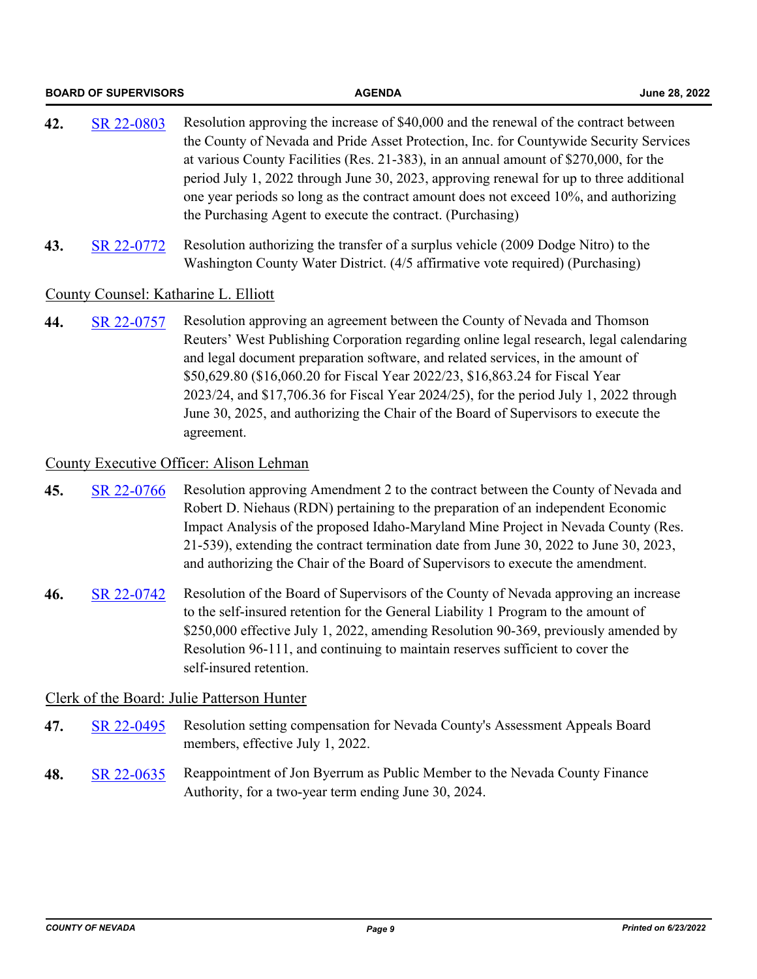|     | <b>BOARD OF SUPERVISORS</b> | <b>AGENDA</b>                                                                                                                                                                                                                                                                                                                                                                                                                                                                                                                            | June 28, 2022 |
|-----|-----------------------------|------------------------------------------------------------------------------------------------------------------------------------------------------------------------------------------------------------------------------------------------------------------------------------------------------------------------------------------------------------------------------------------------------------------------------------------------------------------------------------------------------------------------------------------|---------------|
| 42. | SR 22-0803                  | Resolution approving the increase of \$40,000 and the renewal of the contract between<br>the County of Nevada and Pride Asset Protection, Inc. for Countywide Security Services<br>at various County Facilities (Res. 21-383), in an annual amount of \$270,000, for the<br>period July 1, 2022 through June 30, 2023, approving renewal for up to three additional<br>one year periods so long as the contract amount does not exceed 10%, and authorizing<br>the Purchasing Agent to execute the contract. (Purchasing)                |               |
| 43. | SR 22-0772                  | Resolution authorizing the transfer of a surplus vehicle (2009 Dodge Nitro) to the<br>Washington County Water District. (4/5 affirmative vote required) (Purchasing)                                                                                                                                                                                                                                                                                                                                                                     |               |
|     |                             | County Counsel: Katharine L. Elliott                                                                                                                                                                                                                                                                                                                                                                                                                                                                                                     |               |
| 44. | SR 22-0757                  | Resolution approving an agreement between the County of Nevada and Thomson<br>Reuters' West Publishing Corporation regarding online legal research, legal calendaring<br>and legal document preparation software, and related services, in the amount of<br>\$50,629.80 (\$16,060.20 for Fiscal Year 2022/23, \$16,863.24 for Fiscal Year<br>2023/24, and \$17,706.36 for Fiscal Year 2024/25), for the period July 1, 2022 through<br>June 30, 2025, and authorizing the Chair of the Board of Supervisors to execute the<br>agreement. |               |
|     |                             | County Executive Officer: Alison Lehman                                                                                                                                                                                                                                                                                                                                                                                                                                                                                                  |               |
| 45. | SR 22-0766                  | Resolution approving Amendment 2 to the contract between the County of Nevada and<br>Robert D. Niehaus (RDN) pertaining to the preparation of an independent Economic<br>Impact Analysis of the proposed Idaho-Maryland Mine Project in Nevada County (Res.<br>21-539), extending the contract termination date from June 30, 2022 to June 30, 2023,<br>and authorizing the Chair of the Board of Supervisors to execute the amendment.                                                                                                  |               |
| 46. | SR 22-0742                  | Resolution of the Board of Supervisors of the County of Nevada approving an increase<br>to the self-insured retention for the General Liability 1 Program to the amount of<br>\$250,000 effective July 1, 2022, amending Resolution 90-369, previously amended by<br>Resolution 96-111, and continuing to maintain reserves sufficient to cover the<br>self-insured retention.                                                                                                                                                           |               |
|     |                             | Clerk of the Board: Julie Patterson Hunter                                                                                                                                                                                                                                                                                                                                                                                                                                                                                               |               |
| 47. | SR 22-0495                  | Resolution setting compensation for Nevada County's Assessment Appeals Board<br>members, effective July 1, 2022.                                                                                                                                                                                                                                                                                                                                                                                                                         |               |
| 48. | SR 22-0635                  | Reappointment of Jon Byerrum as Public Member to the Nevada County Finance<br>Authority, for a two-year term ending June 30, 2024.                                                                                                                                                                                                                                                                                                                                                                                                       |               |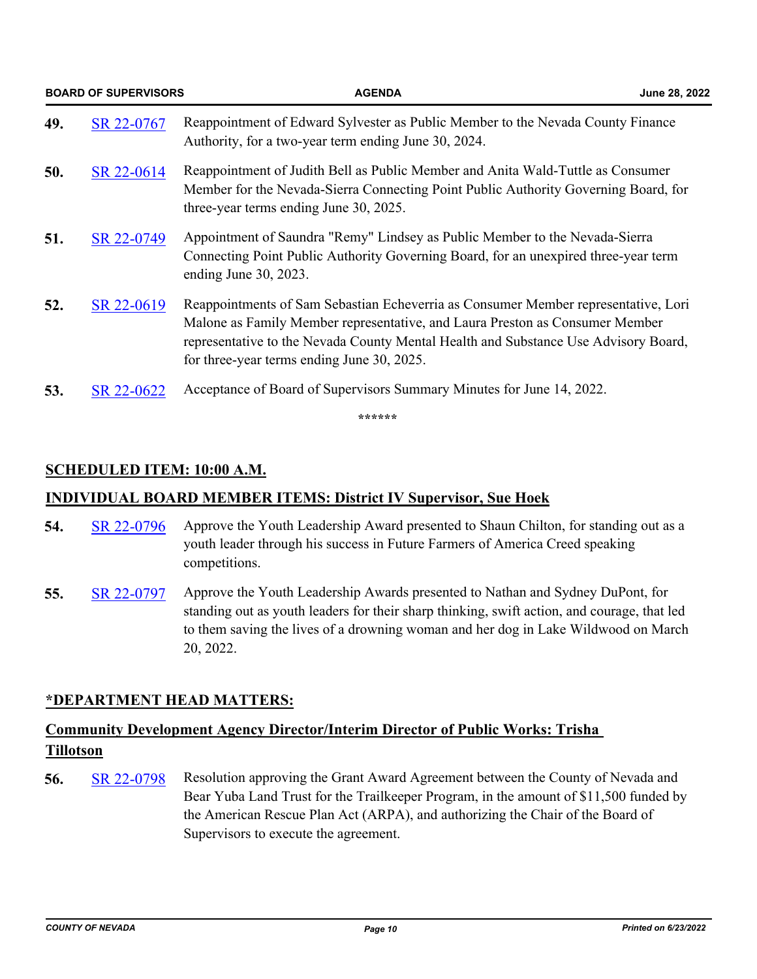|     | <b>BOARD OF SUPERVISORS</b> | <b>AGENDA</b>                                                                                                                                                                                                                                                                                           | June 28, 2022 |
|-----|-----------------------------|---------------------------------------------------------------------------------------------------------------------------------------------------------------------------------------------------------------------------------------------------------------------------------------------------------|---------------|
| 49. | SR 22-0767                  | Reappointment of Edward Sylvester as Public Member to the Nevada County Finance<br>Authority, for a two-year term ending June 30, 2024.                                                                                                                                                                 |               |
| 50. | SR 22-0614                  | Reappointment of Judith Bell as Public Member and Anita Wald-Tuttle as Consumer<br>Member for the Nevada-Sierra Connecting Point Public Authority Governing Board, for<br>three-year terms ending June 30, 2025.                                                                                        |               |
| 51. | SR 22-0749                  | Appointment of Saundra "Remy" Lindsey as Public Member to the Nevada-Sierra<br>Connecting Point Public Authority Governing Board, for an unexpired three-year term<br>ending June 30, 2023.                                                                                                             |               |
| 52. | SR 22-0619                  | Reappointments of Sam Sebastian Echeverria as Consumer Member representative, Lori<br>Malone as Family Member representative, and Laura Preston as Consumer Member<br>representative to the Nevada County Mental Health and Substance Use Advisory Board,<br>for three-year terms ending June 30, 2025. |               |
| 53. | SR 22-0622                  | Acceptance of Board of Supervisors Summary Minutes for June 14, 2022.                                                                                                                                                                                                                                   |               |

**\*\*\*\*\*\***

### **SCHEDULED ITEM: 10:00 A.M.**

#### **INDIVIDUAL BOARD MEMBER ITEMS: District IV Supervisor, Sue Hoek**

- **54.** [SR 22-0796](http://nevco.legistar.com/gateway.aspx?m=l&id=/matter.aspx?key=41123) Approve the Youth Leadership Award presented to Shaun Chilton, for standing out as a youth leader through his success in Future Farmers of America Creed speaking competitions.
- **55.** [SR 22-0797](http://nevco.legistar.com/gateway.aspx?m=l&id=/matter.aspx?key=41124) Approve the Youth Leadership Awards presented to Nathan and Sydney DuPont, for standing out as youth leaders for their sharp thinking, swift action, and courage, that led to them saving the lives of a drowning woman and her dog in Lake Wildwood on March 20, 2022.

#### **\*DEPARTMENT HEAD MATTERS:**

### **Community Development Agency Director/Interim Director of Public Works: Trisha Tillotson**

**56.** [SR 22-0798](http://nevco.legistar.com/gateway.aspx?m=l&id=/matter.aspx?key=41125) Resolution approving the Grant Award Agreement between the County of Nevada and Bear Yuba Land Trust for the Trailkeeper Program, in the amount of \$11,500 funded by the American Rescue Plan Act (ARPA), and authorizing the Chair of the Board of Supervisors to execute the agreement.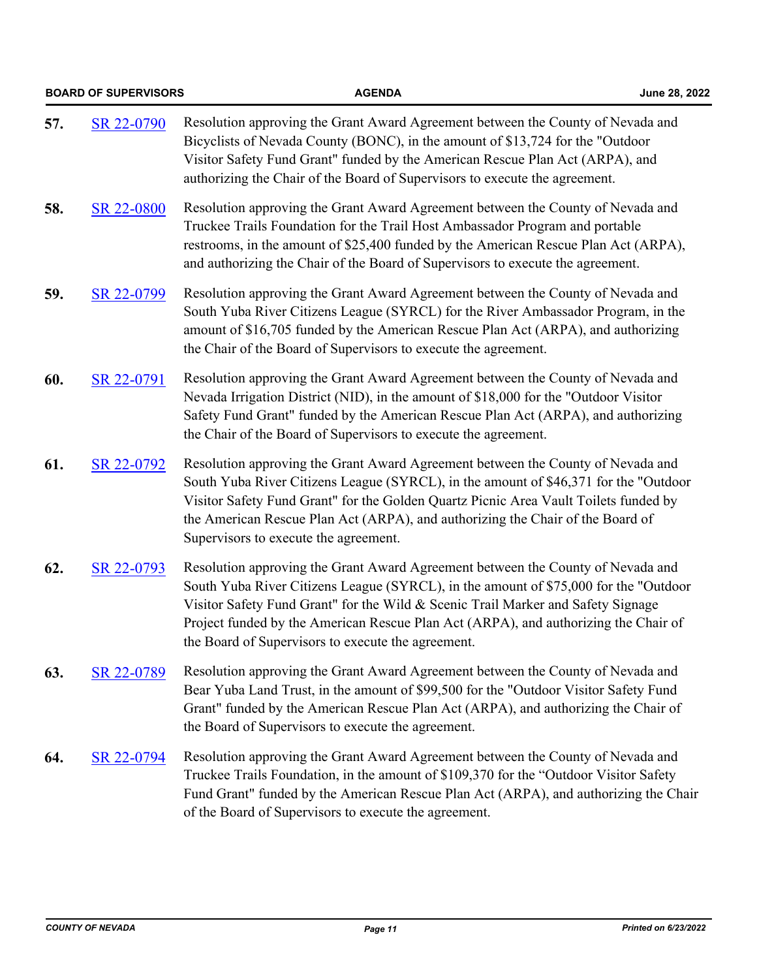|     | <b>BOARD OF SUPERVISORS</b> | <b>AGENDA</b>                                                                                                                                                                                                                                                                                                                                                                                            | June 28, 2022 |
|-----|-----------------------------|----------------------------------------------------------------------------------------------------------------------------------------------------------------------------------------------------------------------------------------------------------------------------------------------------------------------------------------------------------------------------------------------------------|---------------|
| 57. | SR 22-0790                  | Resolution approving the Grant Award Agreement between the County of Nevada and<br>Bicyclists of Nevada County (BONC), in the amount of \$13,724 for the "Outdoor<br>Visitor Safety Fund Grant" funded by the American Rescue Plan Act (ARPA), and<br>authorizing the Chair of the Board of Supervisors to execute the agreement.                                                                        |               |
| 58. | SR 22-0800                  | Resolution approving the Grant Award Agreement between the County of Nevada and<br>Truckee Trails Foundation for the Trail Host Ambassador Program and portable<br>restrooms, in the amount of \$25,400 funded by the American Rescue Plan Act (ARPA),<br>and authorizing the Chair of the Board of Supervisors to execute the agreement.                                                                |               |
| 59. | SR 22-0799                  | Resolution approving the Grant Award Agreement between the County of Nevada and<br>South Yuba River Citizens League (SYRCL) for the River Ambassador Program, in the<br>amount of \$16,705 funded by the American Rescue Plan Act (ARPA), and authorizing<br>the Chair of the Board of Supervisors to execute the agreement.                                                                             |               |
| 60. | SR 22-0791                  | Resolution approving the Grant Award Agreement between the County of Nevada and<br>Nevada Irrigation District (NID), in the amount of \$18,000 for the "Outdoor Visitor<br>Safety Fund Grant" funded by the American Rescue Plan Act (ARPA), and authorizing<br>the Chair of the Board of Supervisors to execute the agreement.                                                                          |               |
| 61. | SR 22-0792                  | Resolution approving the Grant Award Agreement between the County of Nevada and<br>South Yuba River Citizens League (SYRCL), in the amount of \$46,371 for the "Outdoor<br>Visitor Safety Fund Grant" for the Golden Quartz Picnic Area Vault Toilets funded by<br>the American Rescue Plan Act (ARPA), and authorizing the Chair of the Board of<br>Supervisors to execute the agreement.               |               |
| 62. | SR 22-0793                  | Resolution approving the Grant Award Agreement between the County of Nevada and<br>South Yuba River Citizens League (SYRCL), in the amount of \$75,000 for the "Outdoor<br>Visitor Safety Fund Grant" for the Wild & Scenic Trail Marker and Safety Signage<br>Project funded by the American Rescue Plan Act (ARPA), and authorizing the Chair of<br>the Board of Supervisors to execute the agreement. |               |
| 63. | SR 22-0789                  | Resolution approving the Grant Award Agreement between the County of Nevada and<br>Bear Yuba Land Trust, in the amount of \$99,500 for the "Outdoor Visitor Safety Fund<br>Grant" funded by the American Rescue Plan Act (ARPA), and authorizing the Chair of<br>the Board of Supervisors to execute the agreement.                                                                                      |               |
| 64. | SR 22-0794                  | Resolution approving the Grant Award Agreement between the County of Nevada and<br>Truckee Trails Foundation, in the amount of \$109,370 for the "Outdoor Visitor Safety<br>Fund Grant" funded by the American Rescue Plan Act (ARPA), and authorizing the Chair<br>of the Board of Supervisors to execute the agreement.                                                                                |               |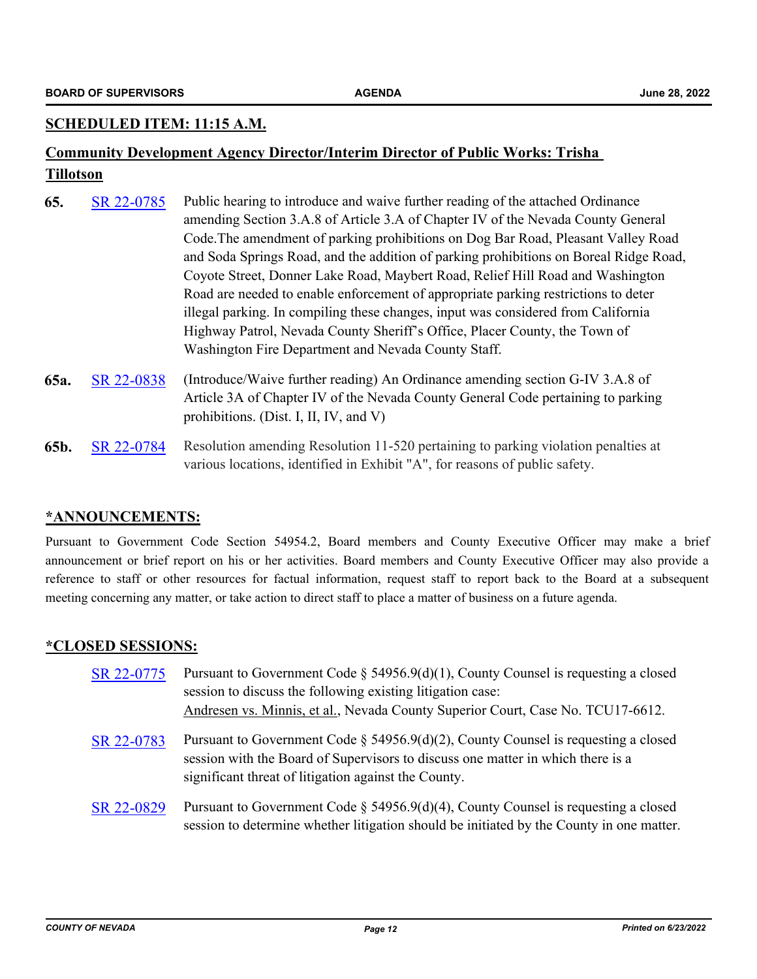#### **SCHEDULED ITEM: 11:15 A.M.**

### **Community Development Agency Director/Interim Director of Public Works: Trisha Tillotson**

- **65.** [SR 22-0785](http://nevco.legistar.com/gateway.aspx?m=l&id=/matter.aspx?key=41112) Public hearing to introduce and waive further reading of the attached Ordinance amending Section 3.A.8 of Article 3.A of Chapter IV of the Nevada County General Code.The amendment of parking prohibitions on Dog Bar Road, Pleasant Valley Road and Soda Springs Road, and the addition of parking prohibitions on Boreal Ridge Road, Coyote Street, Donner Lake Road, Maybert Road, Relief Hill Road and Washington Road are needed to enable enforcement of appropriate parking restrictions to deter illegal parking. In compiling these changes, input was considered from California Highway Patrol, Nevada County Sheriff's Office, Placer County, the Town of Washington Fire Department and Nevada County Staff.
- **65a.** [SR 22-0838](http://nevco.legistar.com/gateway.aspx?m=l&id=/matter.aspx?key=41165) (Introduce/Waive further reading) An Ordinance amending section G-IV 3.A.8 of Article 3A of Chapter IV of the Nevada County General Code pertaining to parking prohibitions. (Dist. I, II, IV, and V)
- **65b.** [SR 22-0784](http://nevco.legistar.com/gateway.aspx?m=l&id=/matter.aspx?key=41111) Resolution amending Resolution 11-520 pertaining to parking violation penalties at various locations, identified in Exhibit "A", for reasons of public safety.

#### **\*ANNOUNCEMENTS:**

Pursuant to Government Code Section 54954.2, Board members and County Executive Officer may make a brief announcement or brief report on his or her activities. Board members and County Executive Officer may also provide a reference to staff or other resources for factual information, request staff to report back to the Board at a subsequent meeting concerning any matter, or take action to direct staff to place a matter of business on a future agenda.

#### **\*CLOSED SESSIONS:**

| SR 22-0775 | Pursuant to Government Code § 54956.9(d)(1), County Counsel is requesting a closed<br>session to discuss the following existing litigation case:<br>Andresen vs. Minnis, et al., Nevada County Superior Court, Case No. TCU17-6612. |
|------------|-------------------------------------------------------------------------------------------------------------------------------------------------------------------------------------------------------------------------------------|
| SR 22-0783 | Pursuant to Government Code § 54956.9(d)(2), County Counsel is requesting a closed<br>session with the Board of Supervisors to discuss one matter in which there is a<br>significant threat of litigation against the County.       |
| SR 22-0829 | Pursuant to Government Code $\S$ 54956.9(d)(4), County Counsel is requesting a closed<br>session to determine whether litigation should be initiated by the County in one matter.                                                   |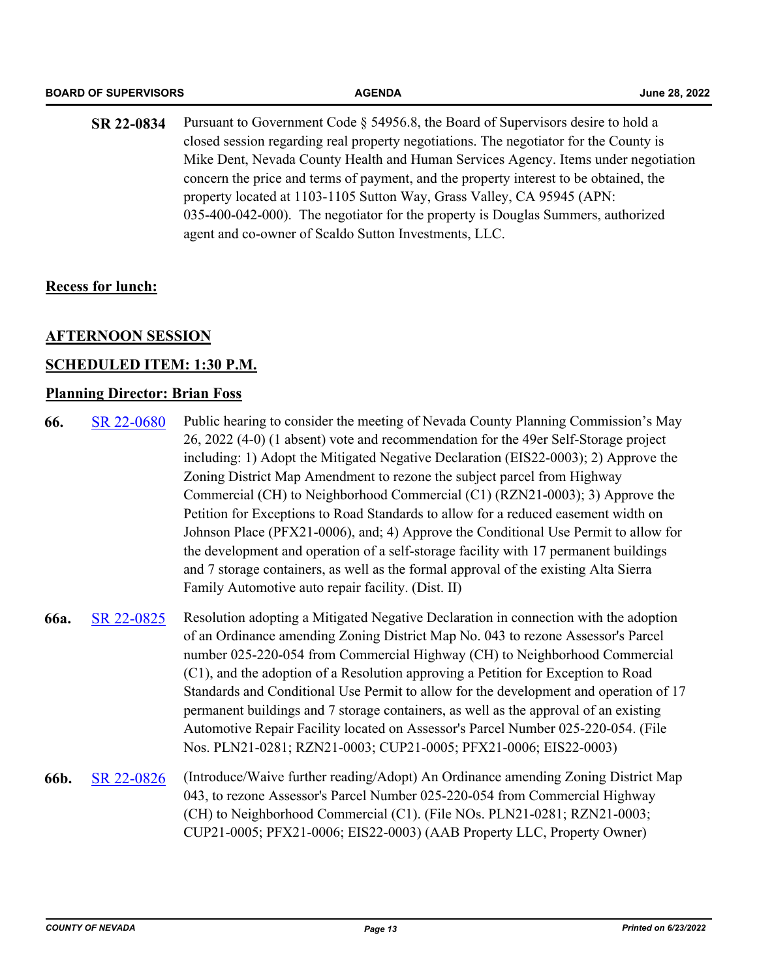| <b>BOARD OF SUPERVISORS</b> | <b>AGENDA</b>                                                                                                                                                                                                                                                                                                                                                                                                                                                                                                                                                                   | June 28, 2022 |
|-----------------------------|---------------------------------------------------------------------------------------------------------------------------------------------------------------------------------------------------------------------------------------------------------------------------------------------------------------------------------------------------------------------------------------------------------------------------------------------------------------------------------------------------------------------------------------------------------------------------------|---------------|
| SR 22-0834                  | Pursuant to Government Code § 54956.8, the Board of Supervisors desire to hold a<br>closed session regarding real property negotiations. The negotiator for the County is<br>Mike Dent, Nevada County Health and Human Services Agency. Items under negotiation<br>concern the price and terms of payment, and the property interest to be obtained, the<br>property located at 1103-1105 Sutton Way, Grass Valley, CA 95945 (APN:<br>035-400-042-000). The negotiator for the property is Douglas Summers, authorized<br>agent and co-owner of Scaldo Sutton Investments, LLC. |               |

#### **Recess for lunch:**

#### **AFTERNOON SESSION**

#### **SCHEDULED ITEM: 1:30 P.M.**

#### **Planning Director: Brian Foss**

- **66.** [SR 22-0680](http://nevco.legistar.com/gateway.aspx?m=l&id=/matter.aspx?key=41008) Public hearing to consider the meeting of Nevada County Planning Commission's May 26, 2022 (4-0) (1 absent) vote and recommendation for the 49er Self-Storage project including: 1) Adopt the Mitigated Negative Declaration (EIS22-0003); 2) Approve the Zoning District Map Amendment to rezone the subject parcel from Highway Commercial (CH) to Neighborhood Commercial (C1) (RZN21-0003); 3) Approve the Petition for Exceptions to Road Standards to allow for a reduced easement width on Johnson Place (PFX21-0006), and; 4) Approve the Conditional Use Permit to allow for the development and operation of a self-storage facility with 17 permanent buildings and 7 storage containers, as well as the formal approval of the existing Alta Sierra Family Automotive auto repair facility. (Dist. II)
- **66a.** [SR 22-0825](http://nevco.legistar.com/gateway.aspx?m=l&id=/matter.aspx?key=41152) Resolution adopting a Mitigated Negative Declaration in connection with the adoption of an Ordinance amending Zoning District Map No. 043 to rezone Assessor's Parcel number 025-220-054 from Commercial Highway (CH) to Neighborhood Commercial (C1), and the adoption of a Resolution approving a Petition for Exception to Road Standards and Conditional Use Permit to allow for the development and operation of 17 permanent buildings and 7 storage containers, as well as the approval of an existing Automotive Repair Facility located on Assessor's Parcel Number 025-220-054. (File Nos. PLN21-0281; RZN21-0003; CUP21-0005; PFX21-0006; EIS22-0003)
- **66b.** [SR 22-0826](http://nevco.legistar.com/gateway.aspx?m=l&id=/matter.aspx?key=41153) (Introduce/Waive further reading/Adopt) An Ordinance amending Zoning District Map 043, to rezone Assessor's Parcel Number 025-220-054 from Commercial Highway (CH) to Neighborhood Commercial (C1). (File NOs. PLN21-0281; RZN21-0003; CUP21-0005; PFX21-0006; EIS22-0003) (AAB Property LLC, Property Owner)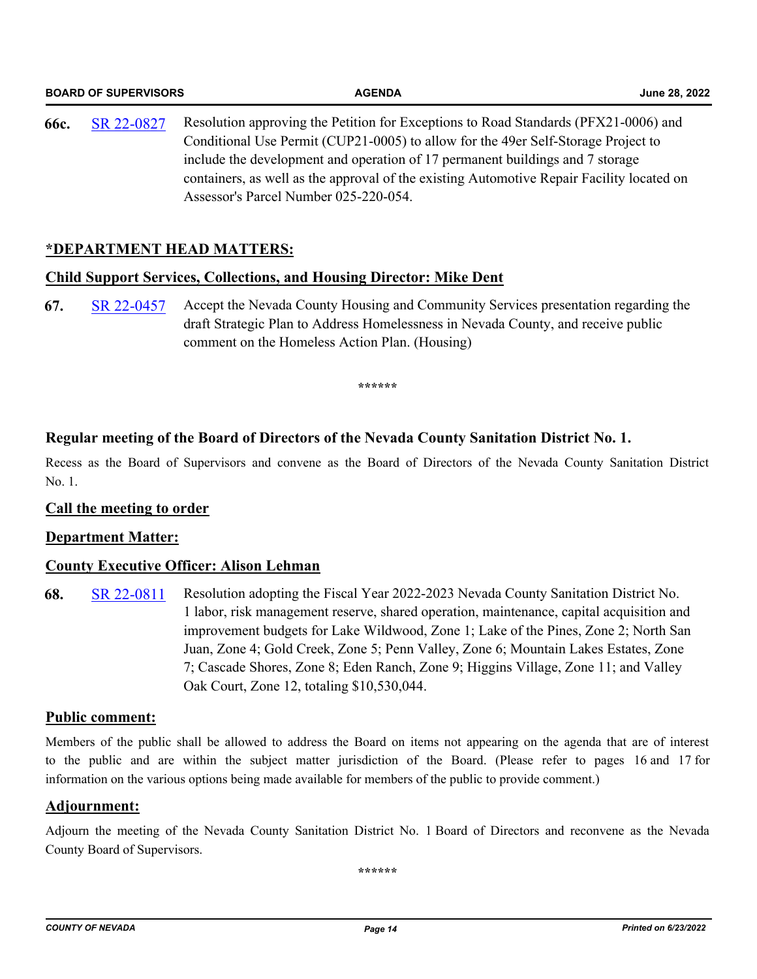|      | <b>BOARD OF SUPERVISORS</b> | <b>AGENDA</b>                                                                                                                                                                                                                                                                                                                                                                                   | June 28, 2022 |
|------|-----------------------------|-------------------------------------------------------------------------------------------------------------------------------------------------------------------------------------------------------------------------------------------------------------------------------------------------------------------------------------------------------------------------------------------------|---------------|
| 66c. | SR 22-0827                  | Resolution approving the Petition for Exceptions to Road Standards (PFX21-0006) and<br>Conditional Use Permit (CUP21-0005) to allow for the 49er Self-Storage Project to<br>include the development and operation of 17 permanent buildings and 7 storage<br>containers, as well as the approval of the existing Automotive Repair Facility located on<br>Assessor's Parcel Number 025-220-054. |               |

#### **\*DEPARTMENT HEAD MATTERS:**

#### **Child Support Services, Collections, and Housing Director: Mike Dent**

**67.** [SR 22-0457](http://nevco.legistar.com/gateway.aspx?m=l&id=/matter.aspx?key=40785) Accept the Nevada County Housing and Community Services presentation regarding the draft Strategic Plan to Address Homelessness in Nevada County, and receive public comment on the Homeless Action Plan. (Housing)

**\*\*\*\*\*\***

#### **Regular meeting of the Board of Directors of the Nevada County Sanitation District No. 1.**

Recess as the Board of Supervisors and convene as the Board of Directors of the Nevada County Sanitation District No. 1.

#### **Call the meeting to order**

#### **Department Matter:**

#### **County Executive Officer: Alison Lehman**

**68.** [SR 22-0811](http://nevco.legistar.com/gateway.aspx?m=l&id=/matter.aspx?key=41138) Resolution adopting the Fiscal Year 2022-2023 Nevada County Sanitation District No. 1 labor, risk management reserve, shared operation, maintenance, capital acquisition and improvement budgets for Lake Wildwood, Zone 1; Lake of the Pines, Zone 2; North San Juan, Zone 4; Gold Creek, Zone 5; Penn Valley, Zone 6; Mountain Lakes Estates, Zone 7; Cascade Shores, Zone 8; Eden Ranch, Zone 9; Higgins Village, Zone 11; and Valley Oak Court, Zone 12, totaling \$10,530,044.

#### **Public comment:**

Members of the public shall be allowed to address the Board on items not appearing on the agenda that are of interest to the public and are within the subject matter jurisdiction of the Board. (Please refer to pages 16 and 17 for information on the various options being made available for members of the public to provide comment.)

#### **Adjournment:**

Adjourn the meeting of the Nevada County Sanitation District No. 1 Board of Directors and reconvene as the Nevada County Board of Supervisors.

**\*\*\*\*\*\***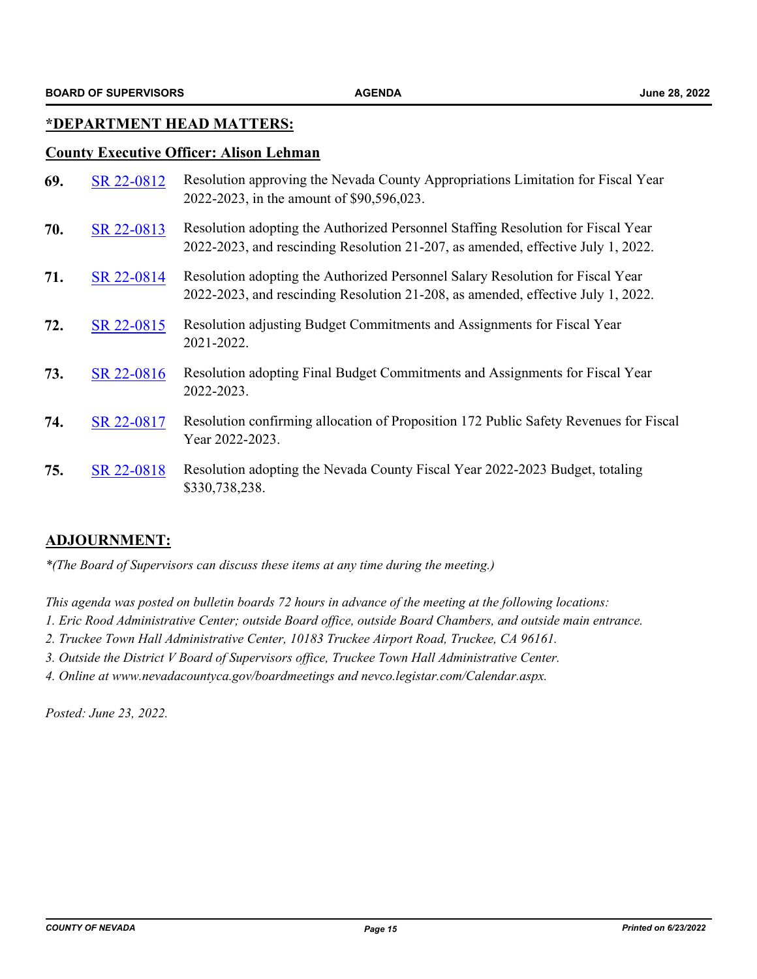#### **\*DEPARTMENT HEAD MATTERS:**

#### **County Executive Officer: Alison Lehman**

| 69. | SR 22-0812 | Resolution approving the Nevada County Appropriations Limitation for Fiscal Year<br>2022-2023, in the amount of \$90,596,023.                                        |
|-----|------------|----------------------------------------------------------------------------------------------------------------------------------------------------------------------|
| 70. | SR 22-0813 | Resolution adopting the Authorized Personnel Staffing Resolution for Fiscal Year<br>2022-2023, and rescinding Resolution 21-207, as amended, effective July 1, 2022. |
| 71. | SR 22-0814 | Resolution adopting the Authorized Personnel Salary Resolution for Fiscal Year<br>2022-2023, and rescinding Resolution 21-208, as amended, effective July 1, 2022.   |
| 72. | SR 22-0815 | Resolution adjusting Budget Commitments and Assignments for Fiscal Year<br>2021-2022.                                                                                |
| 73. | SR 22-0816 | Resolution adopting Final Budget Commitments and Assignments for Fiscal Year<br>2022-2023.                                                                           |
| 74. | SR 22-0817 | Resolution confirming allocation of Proposition 172 Public Safety Revenues for Fiscal<br>Year 2022-2023.                                                             |
| 75. | SR 22-0818 | Resolution adopting the Nevada County Fiscal Year 2022-2023 Budget, totaling<br>\$330,738,238.                                                                       |

#### **ADJOURNMENT:**

*\*(The Board of Supervisors can discuss these items at any time during the meeting.)*

*This agenda was posted on bulletin boards 72 hours in advance of the meeting at the following locations:*

- *1. Eric Rood Administrative Center; outside Board office, outside Board Chambers, and outside main entrance.*
- *2. Truckee Town Hall Administrative Center, 10183 Truckee Airport Road, Truckee, CA 96161.*
- *3. Outside the District V Board of Supervisors office, Truckee Town Hall Administrative Center.*
- *4. Online at www.nevadacountyca.gov/boardmeetings and nevco.legistar.com/Calendar.aspx.*

*Posted: June 23, 2022.*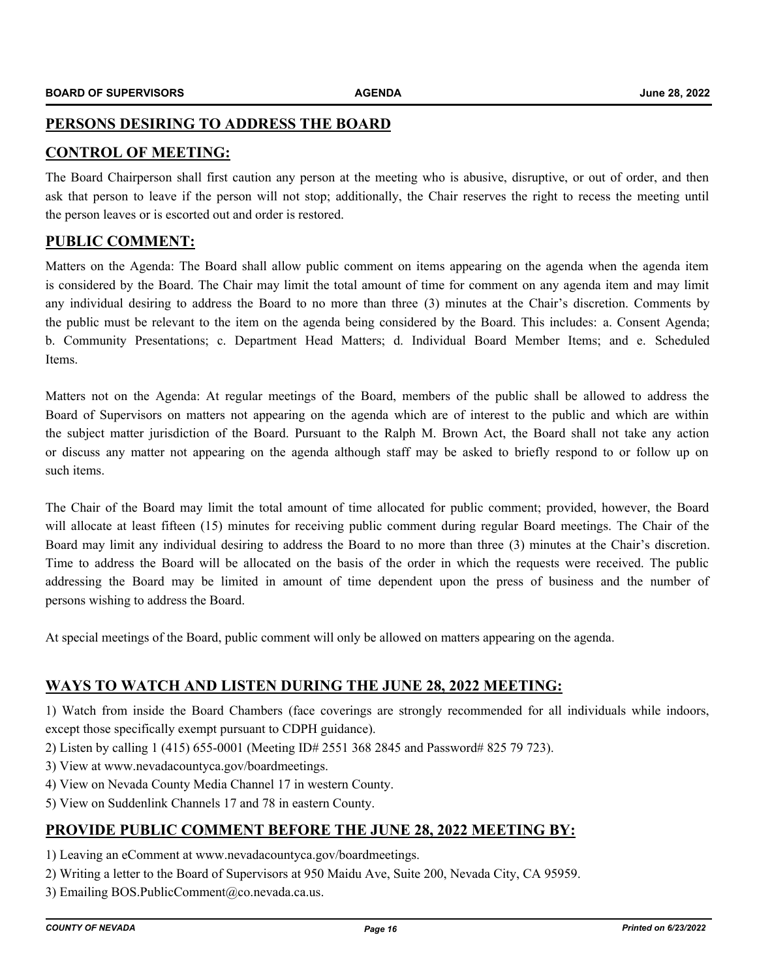#### **PERSONS DESIRING TO ADDRESS THE BOARD**

#### **CONTROL OF MEETING:**

The Board Chairperson shall first caution any person at the meeting who is abusive, disruptive, or out of order, and then ask that person to leave if the person will not stop; additionally, the Chair reserves the right to recess the meeting until the person leaves or is escorted out and order is restored.

#### **PUBLIC COMMENT:**

Matters on the Agenda: The Board shall allow public comment on items appearing on the agenda when the agenda item is considered by the Board. The Chair may limit the total amount of time for comment on any agenda item and may limit any individual desiring to address the Board to no more than three (3) minutes at the Chair's discretion. Comments by the public must be relevant to the item on the agenda being considered by the Board. This includes: a. Consent Agenda; b. Community Presentations; c. Department Head Matters; d. Individual Board Member Items; and e. Scheduled Items.

Matters not on the Agenda: At regular meetings of the Board, members of the public shall be allowed to address the Board of Supervisors on matters not appearing on the agenda which are of interest to the public and which are within the subject matter jurisdiction of the Board. Pursuant to the Ralph M. Brown Act, the Board shall not take any action or discuss any matter not appearing on the agenda although staff may be asked to briefly respond to or follow up on such items.

The Chair of the Board may limit the total amount of time allocated for public comment; provided, however, the Board will allocate at least fifteen (15) minutes for receiving public comment during regular Board meetings. The Chair of the Board may limit any individual desiring to address the Board to no more than three (3) minutes at the Chair's discretion. Time to address the Board will be allocated on the basis of the order in which the requests were received. The public addressing the Board may be limited in amount of time dependent upon the press of business and the number of persons wishing to address the Board.

At special meetings of the Board, public comment will only be allowed on matters appearing on the agenda.

#### **WAYS TO WATCH AND LISTEN DURING THE JUNE 28, 2022 MEETING:**

1) Watch from inside the Board Chambers (face coverings are strongly recommended for all individuals while indoors, except those specifically exempt pursuant to CDPH guidance).

- 2) Listen by calling 1 (415) 655-0001 (Meeting ID# 2551 368 2845 and Password# 825 79 723).
- 3) View at www.nevadacountyca.gov/boardmeetings.
- 4) View on Nevada County Media Channel 17 in western County.
- 5) View on Suddenlink Channels 17 and 78 in eastern County.

#### **PROVIDE PUBLIC COMMENT BEFORE THE JUNE 28, 2022 MEETING BY:**

- 1) Leaving an eComment at www.nevadacountyca.gov/boardmeetings.
- 2) Writing a letter to the Board of Supervisors at 950 Maidu Ave, Suite 200, Nevada City, CA 95959.
- 3) Emailing BOS.PublicComment@co.nevada.ca.us.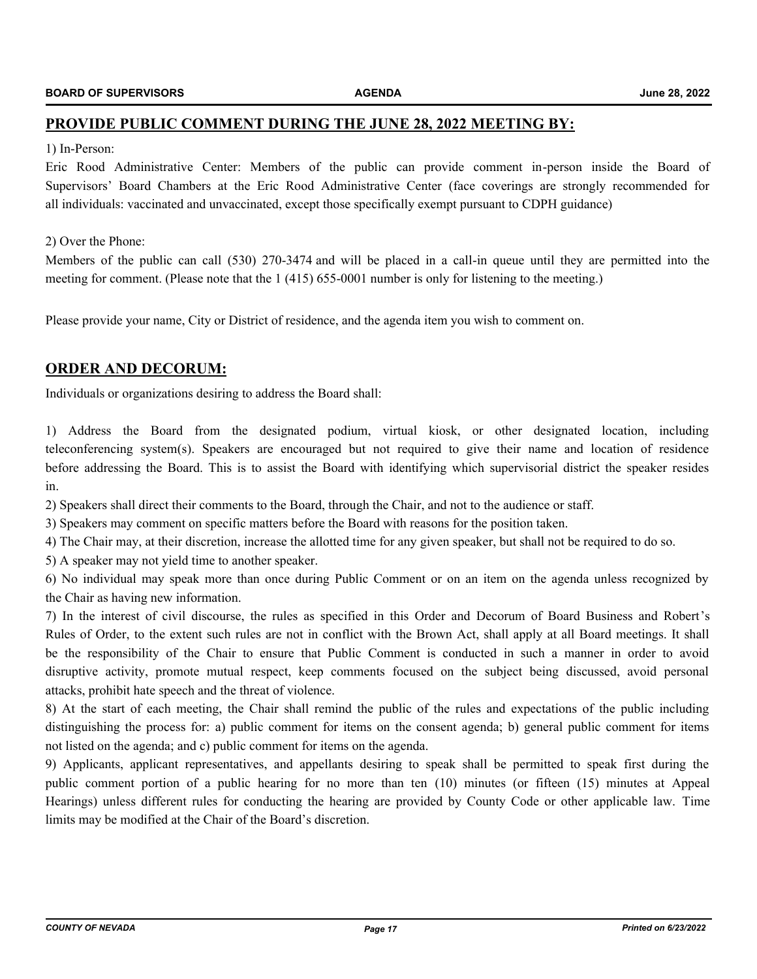#### **PROVIDE PUBLIC COMMENT DURING THE JUNE 28, 2022 MEETING BY:**

#### 1) In-Person:

Eric Rood Administrative Center: Members of the public can provide comment in-person inside the Board of Supervisors' Board Chambers at the Eric Rood Administrative Center (face coverings are strongly recommended for all individuals: vaccinated and unvaccinated, except those specifically exempt pursuant to CDPH guidance)

#### 2) Over the Phone:

Members of the public can call (530) 270-3474 and will be placed in a call-in queue until they are permitted into the meeting for comment. (Please note that the 1 (415) 655-0001 number is only for listening to the meeting.)

Please provide your name, City or District of residence, and the agenda item you wish to comment on.

#### **ORDER AND DECORUM:**

Individuals or organizations desiring to address the Board shall:

1) Address the Board from the designated podium, virtual kiosk, or other designated location, including teleconferencing system(s). Speakers are encouraged but not required to give their name and location of residence before addressing the Board. This is to assist the Board with identifying which supervisorial district the speaker resides in.

2) Speakers shall direct their comments to the Board, through the Chair, and not to the audience or staff.

3) Speakers may comment on specific matters before the Board with reasons for the position taken.

4) The Chair may, at their discretion, increase the allotted time for any given speaker, but shall not be required to do so.

5) A speaker may not yield time to another speaker.

6) No individual may speak more than once during Public Comment or on an item on the agenda unless recognized by the Chair as having new information.

7) In the interest of civil discourse, the rules as specified in this Order and Decorum of Board Business and Robert's Rules of Order, to the extent such rules are not in conflict with the Brown Act, shall apply at all Board meetings. It shall be the responsibility of the Chair to ensure that Public Comment is conducted in such a manner in order to avoid disruptive activity, promote mutual respect, keep comments focused on the subject being discussed, avoid personal attacks, prohibit hate speech and the threat of violence.

8) At the start of each meeting, the Chair shall remind the public of the rules and expectations of the public including distinguishing the process for: a) public comment for items on the consent agenda; b) general public comment for items not listed on the agenda; and c) public comment for items on the agenda.

9) Applicants, applicant representatives, and appellants desiring to speak shall be permitted to speak first during the public comment portion of a public hearing for no more than ten (10) minutes (or fifteen (15) minutes at Appeal Hearings) unless different rules for conducting the hearing are provided by County Code or other applicable law. Time limits may be modified at the Chair of the Board's discretion.